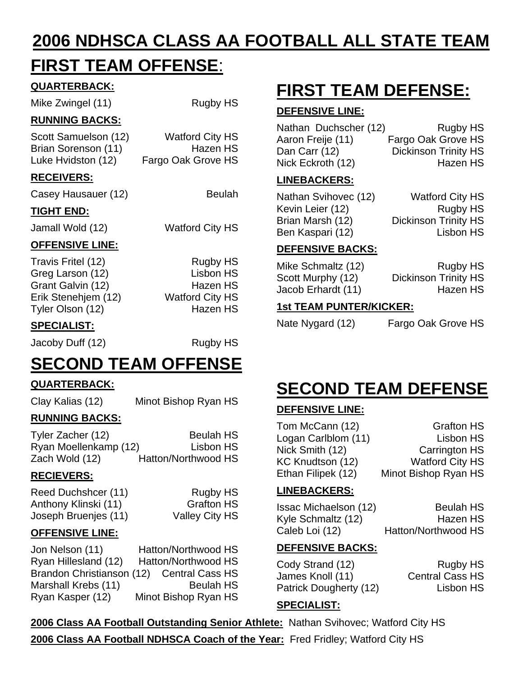# **2006 NDHSCA CLASS AA FOOTBALL ALL STATE TEAM**

## **FIRST TEAM OFFENSE**:

### **QUARTERBACK:**

Mike Zwingel (11) Rugby HS

**RUNNING BACKS:**

Scott Samuelson (12) Watford City HS Brian Sorenson (11) Hazen HS Luke Hvidston (12) Fargo Oak Grove HS

### **RECEIVERS:**

Casey Hausauer (12) Beulah

#### **TIGHT END:**

Jamall Wold (12) Watford City HS

#### **OFFENSIVE LINE:**

Travis Fritel (12) Rugby HS Greg Larson (12) Lisbon HS Grant Galvin (12) **Hazen HS** Erik Stenehjem (12) Watford City HS Tyler Olson (12) Hazen HS

#### **SPECIALIST:**

Jacoby Duff (12) Rugby HS

# **SECOND TEAM OFFENSE**

### **QUARTERBACK:**

Clay Kalias (12) Minot Bishop Ryan HS

## **RUNNING BACKS:**

Tyler Zacher (12) Beulah HS Ryan Moellenkamp (12) Lisbon HS Zach Wold (12) Hatton/Northwood HS

#### **RECIEVERS:**

Reed Duchshcer (11) Rugby HS Anthony Klinski (11) Grafton HS Joseph Bruenjes (11) Valley City HS

#### **OFFENSIVE LINE:**

Jon Nelson (11) Hatton/Northwood HS Ryan Hillesland (12) Hatton/Northwood HS Brandon Christianson (12) Central Cass HS Marshall Krebs (11) Beulah HS Ryan Kasper (12) Minot Bishop Ryan HS **FIRST TEAM DEFENSE:**

#### **DEFENSIVE LINE:**

Nathan Duchscher (12) Rugby HS Aaron Freije (11) Fargo Oak Grove HS Dan Carr (12) Dickinson Trinity HS Nick Eckroth (12) Hazen HS

#### **LINEBACKERS:**

Nathan Svihovec (12) Watford City HS Kevin Leier (12) Rugby HS Brian Marsh (12) Dickinson Trinity HS<br>Ben Kaspari (12) Ben HS Ben Kaspari (12)

#### **DEFENSIVE BACKS:**

Mike Schmaltz (12) Rugby HS Scott Murphy (12) Dickinson Trinity HS Jacob Erhardt (11) Hazen HS

#### **1st TEAM PUNTER/KICKER:**

Nate Nygard (12) Fargo Oak Grove HS

## **SECOND TEAM DEFENSE**

#### **DEFENSIVE LINE:**

Tom McCann (12) Grafton HS Logan Carlblom (11) Lisbon HS Nick Smith (12) Carrington HS KC Knudtson (12) Watford City HS Ethan Filipek (12) Minot Bishop Ryan HS

#### **LINEBACKERS:**

Issac Michaelson (12) Beulah HS Kyle Schmaltz (12) Hazen HS Caleb Loi (12) Hatton/Northwood HS

#### **DEFENSIVE BACKS:**

Cody Strand (12) Rugby HS James Knoll (11) Central Cass HS Patrick Dougherty (12) Lisbon HS

#### **SPECIALIST:**

**2006 Class AA Football Outstanding Senior Athlete:** Nathan Svihovec; Watford City HS **2006 Class AA Football NDHSCA Coach of the Year:** Fred Fridley; Watford City HS